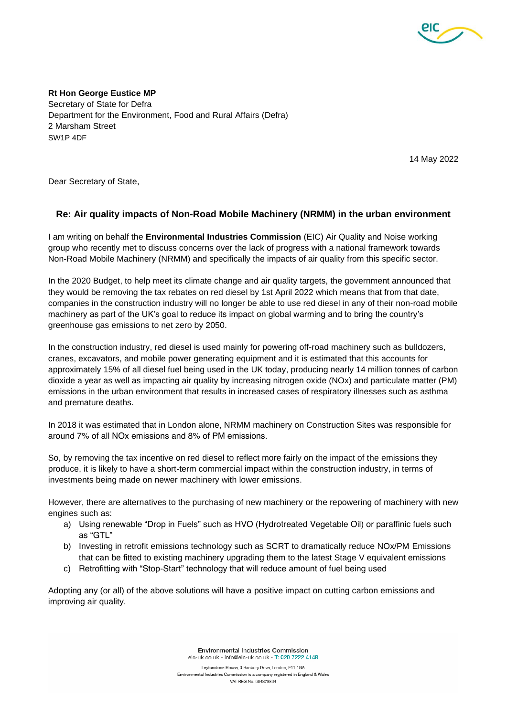

**Rt Hon George Eustice MP** Secretary of State for Defra Department for the Environment, Food and Rural Affairs (Defra) 2 Marsham Street SW1P 4DF

14 May 2022

Dear Secretary of State,

## **Re: Air quality impacts of Non-Road Mobile Machinery (NRMM) in the urban environment**

I am writing on behalf the **Environmental Industries Commission** (EIC) Air Quality and Noise working group who recently met to discuss concerns over the lack of progress with a national framework towards Non-Road Mobile Machinery (NRMM) and specifically the impacts of air quality from this specific sector.

In the 2020 Budget, to help meet its climate change and air quality targets, the government announced that they would be removing the tax rebates on red diesel by 1st April 2022 which means that from that date, companies in the construction industry will no longer be able to use red diesel in any of their non-road mobile machinery as part of the UK's goal to reduce its impact on global warming and to bring the country's greenhouse gas emissions to net zero by 2050.

In the construction industry, red diesel is used mainly for powering off-road machinery such as bulldozers, cranes, excavators, and mobile power generating equipment and it is estimated that this accounts for approximately 15% of all diesel fuel being used in the UK today, producing nearly 14 million tonnes of carbon dioxide a year as well as impacting air quality by increasing nitrogen oxide (NOx) and particulate matter (PM) emissions in the urban environment that results in increased cases of respiratory illnesses such as asthma and premature deaths.

In 2018 it was estimated that in London alone, NRMM machinery on Construction Sites was responsible for around 7% of all NOx emissions and 8% of PM emissions. 

So, by removing the tax incentive on red diesel to reflect more fairly on the impact of the emissions they produce, it is likely to have a short-term commercial impact within the construction industry, in terms of investments being made on newer machinery with lower emissions.

However, there are alternatives to the purchasing of new machinery or the repowering of machinery with new engines such as:

- a) Using renewable "Drop in Fuels" such as HVO (Hydrotreated Vegetable Oil) or paraffinic fuels such as "GTL"
- b) Investing in retrofit emissions technology such as SCRT to dramatically reduce NOx/PM Emissions that can be fitted to existing machinery upgrading them to the latest Stage V equivalent emissions
- c) Retrofitting with "Stop-Start" technology that will reduce amount of fuel being used

Adopting any (or all) of the above solutions will have a positive impact on cutting carbon emissions and improving air quality.

> Environmental Industries Commission eic-uk.co.uk - info@eic-uk.co.uk - T: 020 7222 4148

Leytonstone House, 3 Hanbury Drive, London, E11 1GA Environmental Industries Commission is a company registered in England & Wales VAT REG.No. 654378804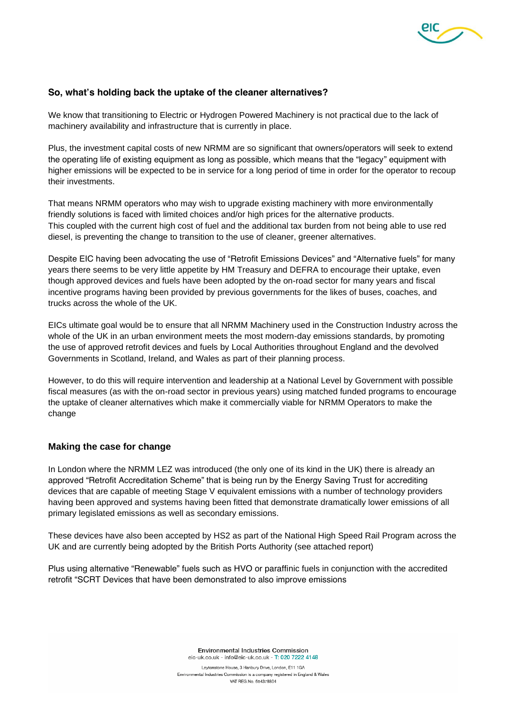

## **So, what's holding back the uptake of the cleaner alternatives?**

We know that transitioning to Electric or Hydrogen Powered Machinery is not practical due to the lack of machinery availability and infrastructure that is currently in place.

Plus, the investment capital costs of new NRMM are so significant that owners/operators will seek to extend the operating life of existing equipment as long as possible, which means that the "legacy" equipment with higher emissions will be expected to be in service for a long period of time in order for the operator to recoup their investments.

That means NRMM operators who may wish to upgrade existing machinery with more environmentally friendly solutions is faced with limited choices and/or high prices for the alternative products. This coupled with the current high cost of fuel and the additional tax burden from not being able to use red diesel, is preventing the change to transition to the use of cleaner, greener alternatives.

Despite EIC having been advocating the use of "Retrofit Emissions Devices" and "Alternative fuels" for many years there seems to be very little appetite by HM Treasury and DEFRA to encourage their uptake, even though approved devices and fuels have been adopted by the on-road sector for many years and fiscal incentive programs having been provided by previous governments for the likes of buses, coaches, and trucks across the whole of the UK.

EICs ultimate goal would be to ensure that all NRMM Machinery used in the Construction Industry across the whole of the UK in an urban environment meets the most modern-day emissions standards, by promoting the use of approved retrofit devices and fuels by Local Authorities throughout England and the devolved Governments in Scotland, Ireland, and Wales as part of their planning process.

However, to do this will require intervention and leadership at a National Level by Government with possible fiscal measures (as with the on-road sector in previous years) using matched funded programs to encourage the uptake of cleaner alternatives which make it commercially viable for NRMM Operators to make the change

## **Making the case for change**

In London where the NRMM LEZ was introduced (the only one of its kind in the UK) there is already an approved "Retrofit Accreditation Scheme" that is being run by the Energy Saving Trust for accrediting devices that are capable of meeting Stage V equivalent emissions with a number of technology providers having been approved and systems having been fitted that demonstrate dramatically lower emissions of all primary legislated emissions as well as secondary emissions.

These devices have also been accepted by HS2 as part of the National High Speed Rail Program across the UK and are currently being adopted by the British Ports Authority (see attached report)

Plus using alternative "Renewable" fuels such as HVO or paraffinic fuels in conjunction with the accredited retrofit "SCRT Devices that have been demonstrated to also improve emissions

> Environmental Industries Commission eic-uk.co.uk - info@eic-uk.co.uk - T: 020 7222 4148

Leytonstone House, 3 Hanbury Drive, London, E11 1GA Environmental Industries Commission is a company registered in England & Wales VAT REG.No. 654378804